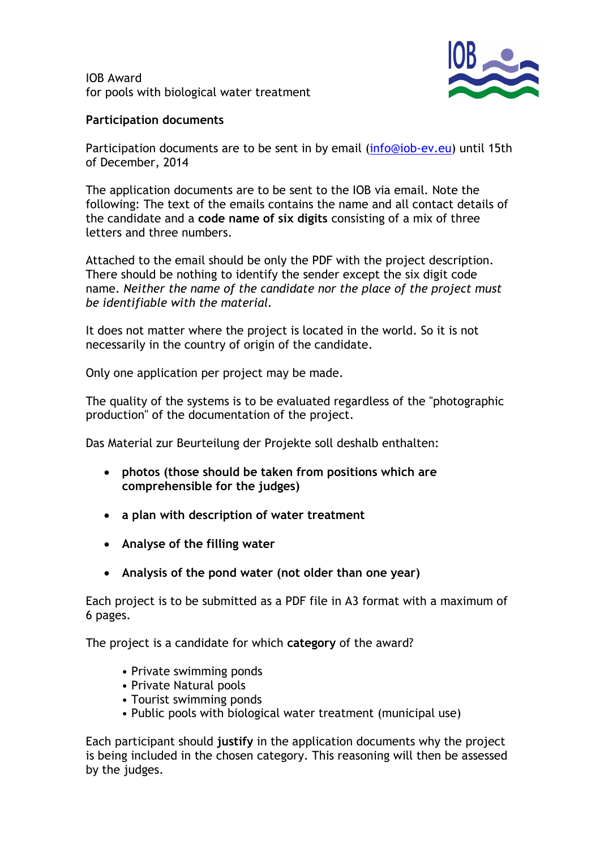IOB Award for pools with biological water treatment



## Participation documents

Participation documents are to be sent in by email (info@iob-ev.eu) until 15th of December, 2014

The application documents are to be sent to the IOB via email. Note the following: The text of the emails contains the name and all contact details of the candidate and a code name of six digits consisting of a mix of three letters and three numbers.

Attached to the email should be only the PDF with the project description. There should be nothing to identify the sender except the six digit code name. Neither the name of the candidate nor the place of the project must be identifiable with the material.

It does not matter where the project is located in the world. So it is not necessarily in the country of origin of the candidate.

Only one application per project may be made.

The quality of the systems is to be evaluated regardless of the "photographic production" of the documentation of the project.

Das Material zur Beurteilung der Projekte soll deshalb enthalten:

- photos (those should be taken from positions which are comprehensible for the judges)
- a plan with description of water treatment
- Analyse of the filling water
- Analysis of the pond water (not older than one year)

Each project is to be submitted as a PDF file in A3 format with a maximum of 6 pages.

The project is a candidate for which category of the award?

- Private swimming ponds
- Private Natural pools
- Tourist swimming ponds
- Public pools with biological water treatment (municipal use)

Each participant should justify in the application documents why the project is being included in the chosen category. This reasoning will then be assessed by the judges.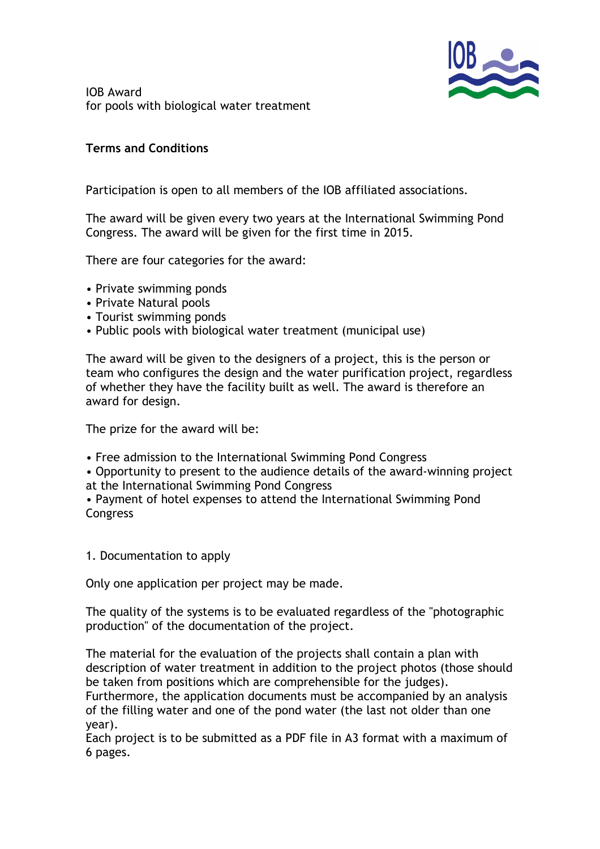

IOB Award for pools with biological water treatment

## Terms and Conditions

Participation is open to all members of the IOB affiliated associations.

The award will be given every two years at the International Swimming Pond Congress. The award will be given for the first time in 2015.

There are four categories for the award:

- Private swimming ponds
- Private Natural pools
- Tourist swimming ponds
- Public pools with biological water treatment (municipal use)

The award will be given to the designers of a project, this is the person or team who configures the design and the water purification project, regardless of whether they have the facility built as well. The award is therefore an award for design.

The prize for the award will be:

- Free admission to the International Swimming Pond Congress
- Opportunity to present to the audience details of the award-winning project at the International Swimming Pond Congress

• Payment of hotel expenses to attend the International Swimming Pond **Congress** 

1. Documentation to apply

Only one application per project may be made.

The quality of the systems is to be evaluated regardless of the "photographic production" of the documentation of the project.

The material for the evaluation of the projects shall contain a plan with description of water treatment in addition to the project photos (those should be taken from positions which are comprehensible for the judges).

Furthermore, the application documents must be accompanied by an analysis of the filling water and one of the pond water (the last not older than one year).

Each project is to be submitted as a PDF file in A3 format with a maximum of 6 pages.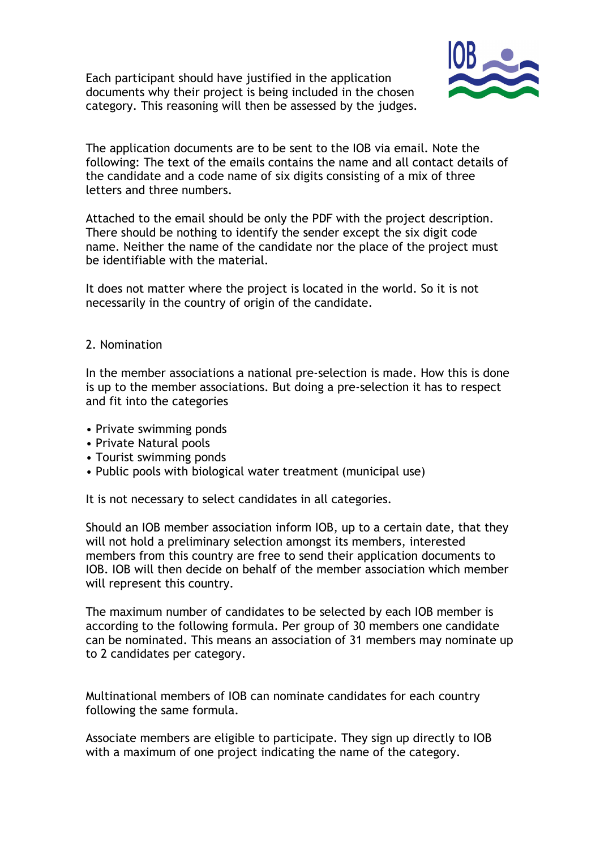Each participant should have justified in the application documents why their project is being included in the chosen category. This reasoning will then be assessed by the judges.



The application documents are to be sent to the IOB via email. Note the following: The text of the emails contains the name and all contact details of the candidate and a code name of six digits consisting of a mix of three letters and three numbers.

Attached to the email should be only the PDF with the project description. There should be nothing to identify the sender except the six digit code name. Neither the name of the candidate nor the place of the project must be identifiable with the material.

It does not matter where the project is located in the world. So it is not necessarily in the country of origin of the candidate.

## 2. Nomination

In the member associations a national pre-selection is made. How this is done is up to the member associations. But doing a pre-selection it has to respect and fit into the categories

- Private swimming ponds
- Private Natural pools
- Tourist swimming ponds
- Public pools with biological water treatment (municipal use)

It is not necessary to select candidates in all categories.

Should an IOB member association inform IOB, up to a certain date, that they will not hold a preliminary selection amongst its members, interested members from this country are free to send their application documents to IOB. IOB will then decide on behalf of the member association which member will represent this country.

The maximum number of candidates to be selected by each IOB member is according to the following formula. Per group of 30 members one candidate can be nominated. This means an association of 31 members may nominate up to 2 candidates per category.

Multinational members of IOB can nominate candidates for each country following the same formula.

Associate members are eligible to participate. They sign up directly to IOB with a maximum of one project indicating the name of the category.